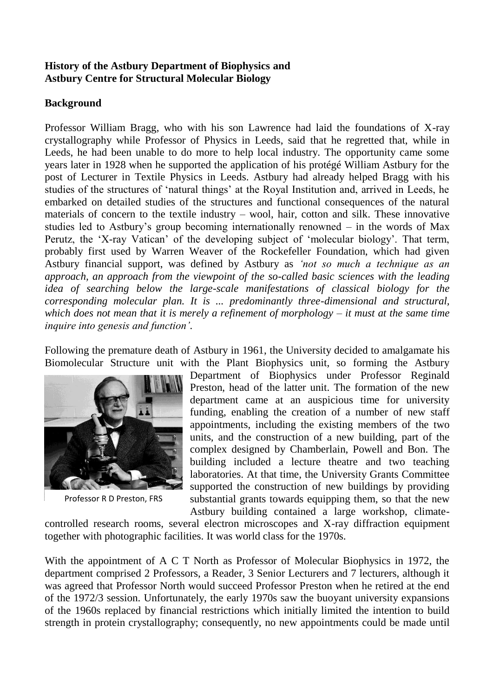#### **History of the Astbury Department of Biophysics and Astbury Centre for Structural Molecular Biology**

# **Background**

Professor William Bragg, who with his son Lawrence had laid the foundations of X-ray crystallography while Professor of Physics in Leeds, said that he regretted that, while in Leeds, he had been unable to do more to help local industry. The opportunity came some years later in 1928 when he supported the application of his protégé William Astbury for the post of Lecturer in Textile Physics in Leeds. Astbury had already helped Bragg with his studies of the structures of 'natural things' at the Royal Institution and, arrived in Leeds, he embarked on detailed studies of the structures and functional consequences of the natural materials of concern to the textile industry – wool, hair, cotton and silk. These innovative studies led to Astbury's group becoming internationally renowned – in the words of Max Perutz, the 'X-ray Vatican' of the developing subject of 'molecular biology'. That term, probably first used by Warren Weaver of the Rockefeller Foundation, which had given Astbury financial support, was defined by Astbury as *'not so much a technique as an approach, an approach from the viewpoint of the so-called basic sciences with the leading idea of searching below the large-scale manifestations of classical biology for the corresponding molecular plan. It is ... predominantly three-dimensional and structural, which does not mean that it is merely a refinement of morphology – it must at the same time inquire into genesis and function'.*

Following the premature death of Astbury in 1961, the University decided to amalgamate his Biomolecular Structure unit with the Plant Biophysics unit, so forming the Astbury



Professor R D Preston, FRS

Department of Biophysics under Professor Reginald Preston, head of the latter unit. The formation of the new department came at an auspicious time for university funding, enabling the creation of a number of new staff appointments, including the existing members of the two units, and the construction of a new building, part of the complex designed by Chamberlain, Powell and Bon. The building included a lecture theatre and two teaching laboratories. At that time, the University Grants Committee supported the construction of new buildings by providing substantial grants towards equipping them, so that the new Astbury building contained a large workshop, climate-

controlled research rooms, several electron microscopes and X-ray diffraction equipment together with photographic facilities. It was world class for the 1970s.

With the appointment of A C T North as Professor of Molecular Biophysics in 1972, the department comprised 2 Professors, a Reader, 3 Senior Lecturers and 7 lecturers, although it was agreed that Professor North would succeed Professor Preston when he retired at the end of the 1972/3 session. Unfortunately, the early 1970s saw the buoyant university expansions of the 1960s replaced by financial restrictions which initially limited the intention to build strength in protein crystallography; consequently, no new appointments could be made until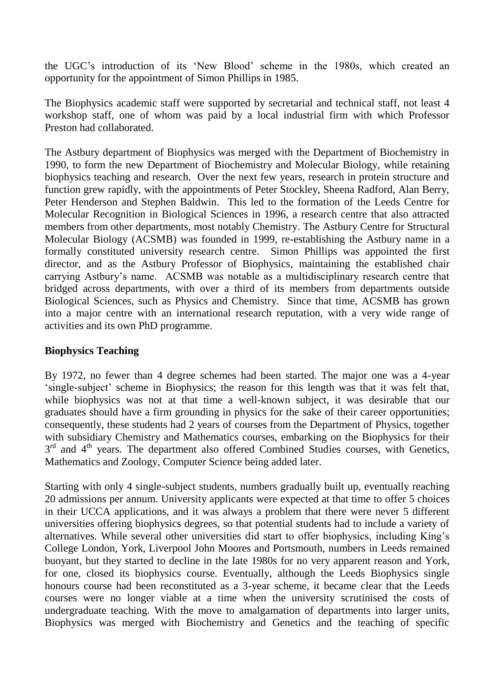the UGC's introduction of its 'New Blood' scheme in the 1980s, which created an opportunity for the appointment of Simon Phillips in 1985.

The Biophysics academic staff were supported by secretarial and technical staff, not least 4 workshop staff, one of whom was paid by a local industrial firm with which Professor Preston had collaborated.

The Astbury department of Biophysics was merged with the Department of Biochemistry in 1990, to form the new Department of Biochemistry and Molecular Biology, while retaining biophysics teaching and research. Over the next few years, research in protein structure and function grew rapidly, with the appointments of Peter Stockley, Sheena Radford, Alan Berry, Peter Henderson and Stephen Baldwin. This led to the formation of the Leeds Centre for Molecular Recognition in Biological Sciences in 1996, a research centre that also attracted members from other departments, most notably Chemistry. The Astbury Centre for Structural Molecular Biology (ACSMB) was founded in 1999, re-establishing the Astbury name in a formally constituted university research centre. Simon Phillips was appointed the first director, and as the Astbury Professor of Biophysics, maintaining the established chair carrying Astbury's name. ACSMB was notable as a multidisciplinary research centre that bridged across departments, with over a third of its members from departments outside Biological Sciences, such as Physics and Chemistry. Since that time, ACSMB has grown into a major centre with an international research reputation, with a very wide range of activities and its own PhD programme.

## **Biophysics Teaching**

By 1972, no fewer than 4 degree schemes had been started. The major one was a 4-year 'single-subject' scheme in Biophysics; the reason for this length was that it was felt that, while biophysics was not at that time a well-known subject, it was desirable that our graduates should have a firm grounding in physics for the sake of their career opportunities; consequently, these students had 2 years of courses from the Department of Physics, together with subsidiary Chemistry and Mathematics courses, embarking on the Biophysics for their 3<sup>rd</sup> and 4<sup>th</sup> years. The department also offered Combined Studies courses, with Genetics, Mathematics and Zoology, Computer Science being added later.

Starting with only 4 single-subject students, numbers gradually built up, eventually reaching 20 admissions per annum. University applicants were expected at that time to offer 5 choices in their UCCA applications, and it was always a problem that there were never 5 different universities offering biophysics degrees, so that potential students had to include a variety of alternatives. While several other universities did start to offer biophysics, including King's College London, York, Liverpool John Moores and Portsmouth, numbers in Leeds remained buoyant, but they started to decline in the late 1980s for no very apparent reason and York, for one, closed its biophysics course. Eventually, although the Leeds Biophysics single honours course had been reconstituted as a 3-year scheme, it became clear that the Leeds courses were no longer viable at a time when the university scrutinised the costs of undergraduate teaching. With the move to amalgamation of departments into larger units, Biophysics was merged with Biochemistry and Genetics and the teaching of specific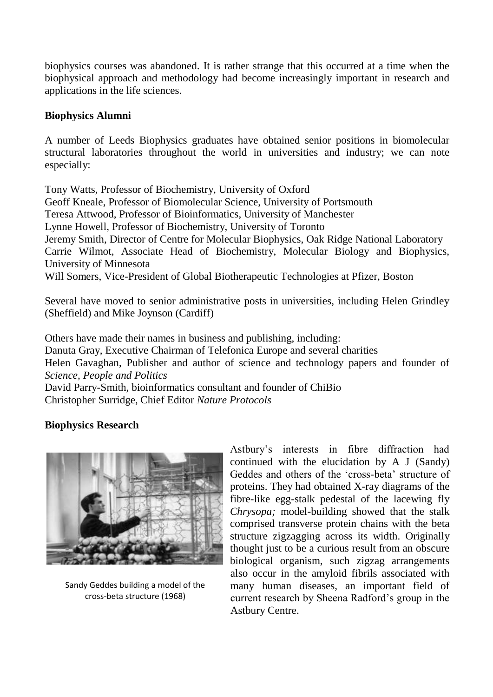biophysics courses was abandoned. It is rather strange that this occurred at a time when the biophysical approach and methodology had become increasingly important in research and applications in the life sciences.

### **Biophysics Alumni**

A number of Leeds Biophysics graduates have obtained senior positions in biomolecular structural laboratories throughout the world in universities and industry; we can note especially:

Tony Watts, Professor of Biochemistry, University of Oxford Geoff Kneale, Professor of Biomolecular Science, University of Portsmouth Teresa Attwood, Professor of Bioinformatics, University of Manchester Lynne Howell, Professor of Biochemistry, University of Toronto Jeremy Smith, Director of Centre for Molecular Biophysics, Oak Ridge National Laboratory Carrie Wilmot, Associate Head of Biochemistry, Molecular Biology and Biophysics, University of Minnesota Will Somers, Vice-President of Global Biotherapeutic Technologies at Pfizer, Boston

Several have moved to senior administrative posts in universities, including Helen Grindley (Sheffield) and Mike Joynson (Cardiff)

Others have made their names in business and publishing, including:

Danuta Gray, Executive Chairman of Telefonica Europe and several charities

Helen Gavaghan, Publisher and author of science and technology papers and founder of *Science, People and Politics*

David Parry-Smith, bioinformatics consultant and founder of ChiBio Christopher Surridge, Chief Editor *Nature Protocols*

# **Biophysics Research**



Sandy Geddes building a model of the cross-beta structure (1968)

Astbury's interests in fibre diffraction had continued with the elucidation by A J (Sandy) Geddes and others of the 'cross-beta' structure of proteins. They had obtained X-ray diagrams of the fibre-like egg-stalk pedestal of the lacewing fly *Chrysopa;* model-building showed that the stalk comprised transverse protein chains with the beta structure zigzagging across its width. Originally thought just to be a curious result from an obscure biological organism, such zigzag arrangements also occur in the amyloid fibrils associated with many human diseases, an important field of current research by Sheena Radford's group in the Astbury Centre.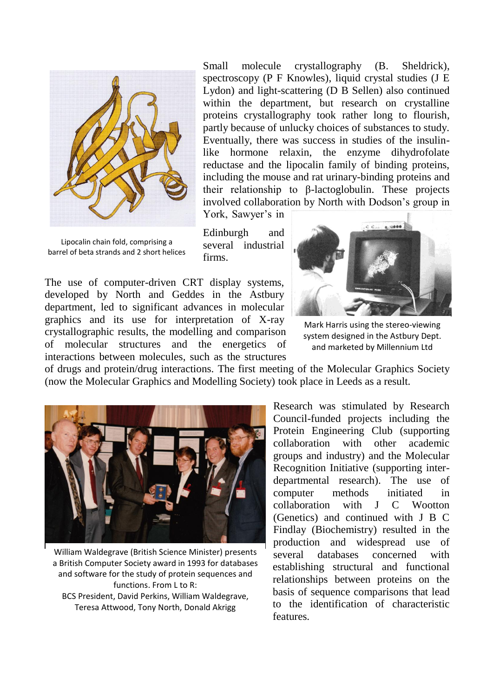

Lipocalin chain fold, comprising a barrel of beta strands and 2 short helices

Small molecule crystallography (B. Sheldrick), spectroscopy (P F Knowles), liquid crystal studies (J E Lydon) and light-scattering (D B Sellen) also continued within the department, but research on crystalline proteins crystallography took rather long to flourish, partly because of unlucky choices of substances to study. Eventually, there was success in studies of the insulinlike hormone relaxin, the enzyme dihydrofolate reductase and the lipocalin family of binding proteins, including the mouse and rat urinary-binding proteins and their relationship to β-lactoglobulin. These projects involved collaboration by North with Dodson's group in York, Sawyer's in

Edinburgh and several industrial firms.

The use of computer-driven CRT display systems, developed by North and Geddes in the Astbury department, led to significant advances in molecular graphics and its use for interpretation of X-ray crystallographic results, the modelling and comparison of molecular structures and the energetics of interactions between molecules, such as the structures



Mark Harris using the stereo-viewing system designed in the Astbury Dept. and marketed by Millennium Ltd

of drugs and protein/drug interactions. The first meeting of the Molecular Graphics Society (now the Molecular Graphics and Modelling Society) took place in Leeds as a result.



William Waldegrave (British Science Minister) presents a British Computer Society award in 1993 for databases and software for the study of protein sequences and functions. From L to R: BCS President, David Perkins, William Waldegrave, Teresa Attwood, Tony North, Donald Akrigg

Research was stimulated by Research Council-funded projects including the Protein Engineering Club (supporting collaboration with other academic groups and industry) and the Molecular Recognition Initiative (supporting interdepartmental research). The use of computer methods initiated in collaboration with J C Wootton (Genetics) and continued with J B C Findlay (Biochemistry) resulted in the production and widespread use of several databases concerned with establishing structural and functional relationships between proteins on the basis of sequence comparisons that lead to the identification of characteristic features.